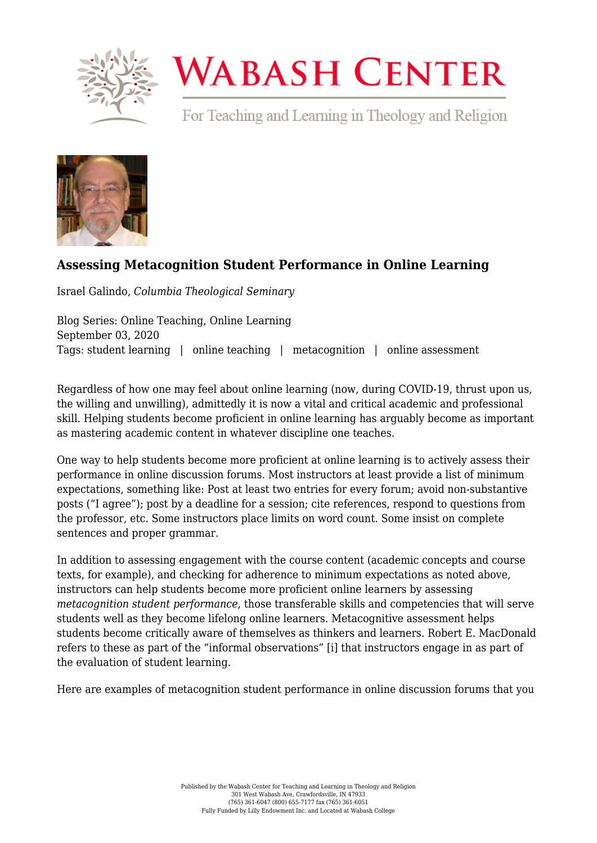

## **WABASH CENTER**

For Teaching and Learning in Theology and Religion



## **[Assessing Metacognition Student Performance in Online Learning](https://www.wabashcenter.wabash.edu/2020/09/assessing-metacognition-student-performance-in-online-learning/)**

Israel Galindo, *Columbia Theological Seminary*

Blog Series: Online Teaching, Online Learning September 03, 2020 Tags: student learning | online teaching | metacognition | online assessment

Regardless of how one may feel about online learning (now, during COVID-19, thrust upon us, the willing and unwilling), admittedly it is now a vital and critical academic and professional skill. Helping students become proficient in online learning has arguably become as important as mastering academic content in whatever discipline one teaches.

One way to help students become more proficient at online learning is to actively assess their performance in online discussion forums. Most instructors at least provide a list of minimum expectations, something like: Post at least two entries for every forum; avoid non-substantive posts ("I agree"); post by a deadline for a session; cite references, respond to questions from the professor, etc. Some instructors place limits on word count. Some insist on complete sentences and proper grammar.

In addition to assessing engagement with the course content (academic concepts and course texts, for example), and checking for adherence to minimum expectations as noted above, instructors can help students become more proficient online learners by assessing *metacognition student performance*, those transferable skills and competencies that will serve students well as they become lifelong online learners. Metacognitive assessment helps students become critically aware of themselves as thinkers and learners. Robert E. MacDonald refers to these as part of the "informal observations" [\[i\]](#page-1-0) that instructors engage in as part of the evaluation of student learning.

<span id="page-0-0"></span>Here are examples of metacognition student performance in online discussion forums that you